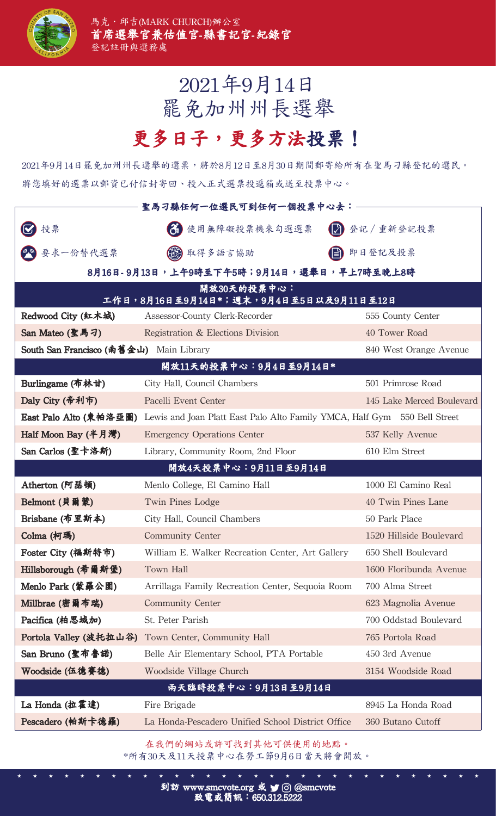

## 2021年9月14日 罷免加州州長選舉

## 更多日子,更多方法投票!

2021年9月14日罷免加州州長選舉的選票,將於8月12日至8月30日期間郵寄給所有在聖馬刁縣登記的選民。 將您填好的選票以郵資已付信封寄回、投入正式選票投遞箱或送至投票中心。

| 聖馬刁縣任何一位選民可到任何一個投票中心去:                                |                                                                           |                           |  |
|-------------------------------------------------------|---------------------------------------------------------------------------|---------------------------|--|
| 投票                                                    | 3 使用無障礙投票機來勾選選票                                                           | 分 登記 / 重新登記投票             |  |
| 要求一份替代選票                                              | 3取得多語言協助                                                                  | 自 即日登記及投票                 |  |
| 8月16日-9月13日,上午9時至下午5時;9月14日,選舉日,早上7時至晚上8時             |                                                                           |                           |  |
| 開放30天的投票中心:<br>工作日,8月16日至9月14日*;週末,9月4日至5日以及9月11日至12日 |                                                                           |                           |  |
| Redwood City (紅木城)                                    | Assessor-County Clerk-Recorder                                            | 555 County Center         |  |
| San Mateo (聖馬刁)                                       | Registration & Elections Division                                         | 40 Tower Road             |  |
| South San Francisco (南舊金山) Main Library               |                                                                           | 840 West Orange Avenue    |  |
| 開放11天的投票中心:9月4日至9月14日*                                |                                                                           |                           |  |
| Burlingame (布林甘)                                      | City Hall, Council Chambers                                               | 501 Primrose Road         |  |
| Daly City (帝利市)                                       | Pacelli Event Center                                                      | 145 Lake Merced Boulevard |  |
| East Palo Alto (東帕洛亞圖)                                | Lewis and Joan Platt East Palo Alto Family YMCA, Half Gym 550 Bell Street |                           |  |
| Half Moon Bay (半月灣)                                   | <b>Emergency Operations Center</b>                                        | 537 Kelly Avenue          |  |
| San Carlos (聖卡洛斯)                                     | Library, Community Room, 2nd Floor                                        | 610 Elm Street            |  |
| 開放4天投票中心:9月11日至9月14日                                  |                                                                           |                           |  |
| Atherton (阿瑟頓)                                        | Menlo College, El Camino Hall                                             | 1000 El Camino Real       |  |
| Belmont (貝爾蒙)                                         | Twin Pines Lodge                                                          | 40 Twin Pines Lane        |  |
| Brisbane (布里斯本)                                       | City Hall, Council Chambers                                               | 50 Park Place             |  |
| Colma (柯瑪)                                            | <b>Community Center</b>                                                   | 1520 Hillside Boulevard   |  |
| Foster City (福斯特市)                                    | William E. Walker Recreation Center, Art Gallery                          | 650 Shell Boulevard       |  |
| Hillsborough (希爾斯堡)                                   | Town Hall                                                                 | 1600 Floribunda Avenue    |  |
| Menlo Park (蒙羅公園)                                     | Arrillaga Family Recreation Center, Sequoia Room                          | 700 Alma Street           |  |
| Millbrae (密爾布瑞)                                       | <b>Community Center</b>                                                   | 623 Magnolia Avenue       |  |
| Pacifica (柏思域加)                                       | St. Peter Parish                                                          | 700 Oddstad Boulevard     |  |
| Portola Valley (波托拉山谷)                                | Town Center, Community Hall                                               | 765 Portola Road          |  |
| San Bruno (聖布魯諾)                                      | Belle Air Elementary School, PTA Portable                                 | 450 3rd Avenue            |  |
| Woodside (伍德賽德)                                       | Woodside Village Church                                                   | 3154 Woodside Road        |  |
| 兩天臨時投票中心:9月13日至9月14日                                  |                                                                           |                           |  |
| La Honda (拉霍達)                                        | Fire Brigade                                                              | 8945 La Honda Road        |  |
| Pescadero (帕斯卡德羅)                                     | La Honda-Pescadero Unified School District Office                         | 360 Butano Cutoff         |  |

在我們的網站或許可找到其他可供使用的地點。 \*所有30天及11天投票中心在勞工節9月6日當天將會開放。